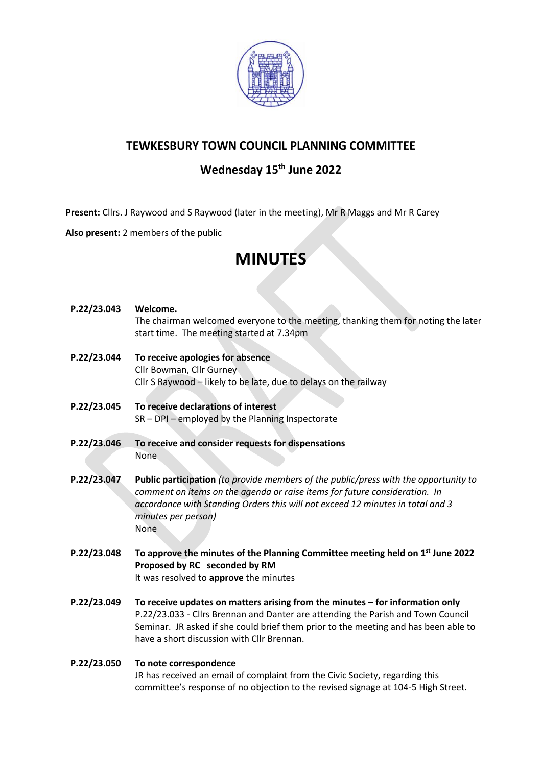

### **TEWKESBURY TOWN COUNCIL PLANNING COMMITTEE**

## **Wednesday 15th June 2022**

**Present:** Cllrs. J Raywood and S Raywood (later in the meeting), Mr R Maggs and Mr R Carey

**Also present:** 2 members of the public

# **MINUTES**

| P.22/23.043 | Welcome.<br>The chairman welcomed everyone to the meeting, thanking them for noting the later<br>start time. The meeting started at 7.34pm                                                                                                                                                               |
|-------------|----------------------------------------------------------------------------------------------------------------------------------------------------------------------------------------------------------------------------------------------------------------------------------------------------------|
| P.22/23.044 | To receive apologies for absence<br>Cllr Bowman, Cllr Gurney<br>Cllr S Raywood - likely to be late, due to delays on the railway                                                                                                                                                                         |
| P.22/23.045 | To receive declarations of interest<br>$SR - DPI - employed$ by the Planning Inspectorate                                                                                                                                                                                                                |
| P.22/23.046 | To receive and consider requests for dispensations<br><b>None</b>                                                                                                                                                                                                                                        |
| P.22/23.047 | Public participation (to provide members of the public/press with the opportunity to<br>comment on items on the agenda or raise items for future consideration. In<br>accordance with Standing Orders this will not exceed 12 minutes in total and 3<br>minutes per person)<br><b>None</b>               |
| P.22/23.048 | To approve the minutes of the Planning Committee meeting held on $1st$ June 2022<br>Proposed by RC seconded by RM<br>It was resolved to approve the minutes                                                                                                                                              |
| P.22/23.049 | To receive updates on matters arising from the minutes $-$ for information only<br>P.22/23.033 - Cllrs Brennan and Danter are attending the Parish and Town Council<br>Seminar. JR asked if she could brief them prior to the meeting and has been able to<br>have a short discussion with Cllr Brennan. |
| P.22/23.050 | To note correspondence<br>JR has received an email of complaint from the Civic Society, regarding this<br>committee's response of no objection to the revised signage at 104-5 High Street.                                                                                                              |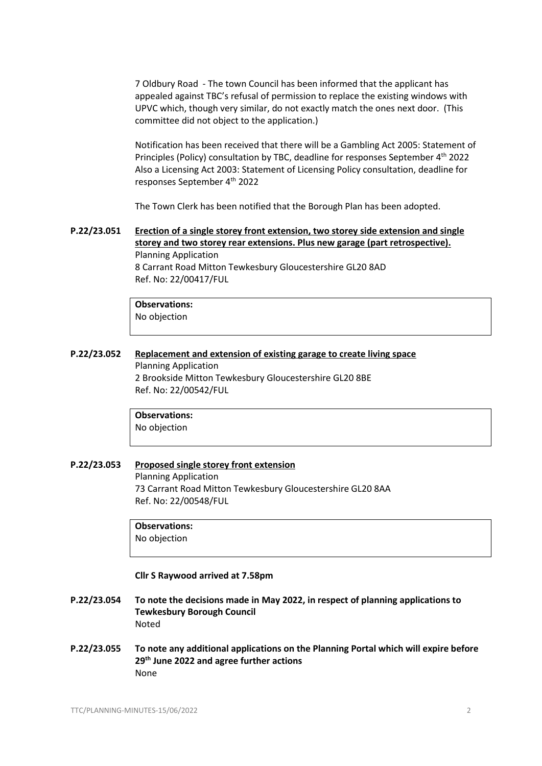7 Oldbury Road - The town Council has been informed that the applicant has appealed against TBC's refusal of permission to replace the existing windows with UPVC which, though very similar, do not exactly match the ones next door. (This committee did not object to the application.)

Notification has been received that there will be a Gambling Act 2005: Statement of Principles (Policy) consultation by TBC, deadline for responses September 4<sup>th</sup> 2022 Also a Licensing Act 2003: Statement of Licensing Policy consultation, deadline for responses September 4th 2022

The Town Clerk has been notified that the Borough Plan has been adopted.

**P.22/23.051 [Erection of a single storey front extension, two storey side extension and single](https://publicaccess.tewkesbury.gov.uk/online-applications/applicationDetails.do?activeTab=summary&keyVal=R9NIHFQDJON00&prevPage=inTray)  [storey and two storey rear extensions. Plus new garage \(part retrospective\).](https://publicaccess.tewkesbury.gov.uk/online-applications/applicationDetails.do?activeTab=summary&keyVal=R9NIHFQDJON00&prevPage=inTray)** Planning Application 8 Carrant Road Mitton Tewkesbury Gloucestershire GL20 8AD Ref. No: 22/00417/FUL

> **Observations:** No objection

**P.22/23.052 [Replacement and extension of existing garage to create living space](https://publicaccess.tewkesbury.gov.uk/online-applications/applicationDetails.do?activeTab=summary&keyVal=RBCGPYQDK2S00&prevPage=inTray)** Planning Application 2 Brookside Mitton Tewkesbury Gloucestershire GL20 8BE Ref. No: 22/00542/FUL

> **Observations:** No objection

**P.22/23.053 [Proposed single storey front extension](https://publicaccess.tewkesbury.gov.uk/online-applications/applicationDetails.do?activeTab=summary&keyVal=RBEBE4QDK3O00&prevPage=inTray)**

Planning Application 73 Carrant Road Mitton Tewkesbury Gloucestershire GL20 8AA Ref. No: 22/00548/FUL

**Observations:** No objection

**Cllr S Raywood arrived at 7.58pm**

- **P.22/23.054 To note the decisions made in May 2022, in respect of planning applications to Tewkesbury Borough Council** Noted
- **P.22/23.055 To note any additional applications on the Planning Portal which will expire before 29th June 2022 and agree further actions** None